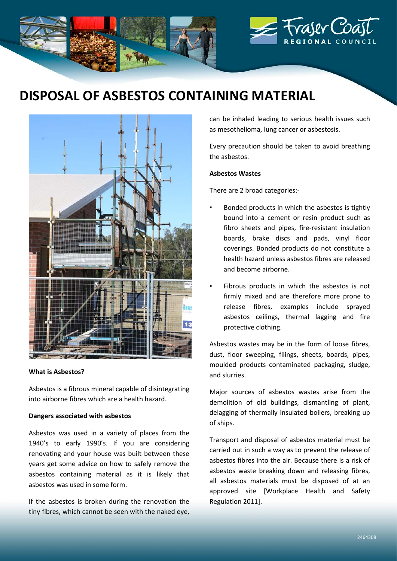

# **DISPOSAL OF ASBESTOS CONTAINING MATERIAL**



#### **What is Asbestos?**

Asbestos is a fibrous mineral capable of disintegrating into airborne fibres which are a health hazard.

## **Dangers associated with asbestos**

Asbestos was used in a variety of places from the 1940's to early 1990's. If you are considering renovating and your house was built between these years get some advice on how to safely remove the asbestos containing material as it is likely that asbestos was used in some form.

If the asbestos is broken during the renovation the tiny fibres, which cannot be seen with the naked eye, can be inhaled leading to serious health issues such as mesothelioma, lung cancer or asbestosis.

Every precaution should be taken to avoid breathing the asbestos.

## **Asbestos Wastes**

There are 2 broad categories:-

- Bonded products in which the asbestos is tightly bound into a cement or resin product such as fibro sheets and pipes, fire-resistant insulation boards, brake discs and pads, vinyl floor coverings. Bonded products do not constitute a health hazard unless asbestos fibres are released and become airborne.
- Fibrous products in which the asbestos is not firmly mixed and are therefore more prone to release fibres, examples include sprayed asbestos ceilings, thermal lagging and fire protective clothing.

Asbestos wastes may be in the form of loose fibres, dust, floor sweeping, filings, sheets, boards, pipes, moulded products contaminated packaging, sludge, and slurries.

Major sources of asbestos wastes arise from the demolition of old buildings, dismantling of plant, delagging of thermally insulated boilers, breaking up of ships.

Transport and disposal of asbestos material must be carried out in such a way as to prevent the release of asbestos fibres into the air. Because there is a risk of asbestos waste breaking down and releasing fibres, all asbestos materials must be disposed of at an approved site [Workplace Health and Safety Regulation 2011].